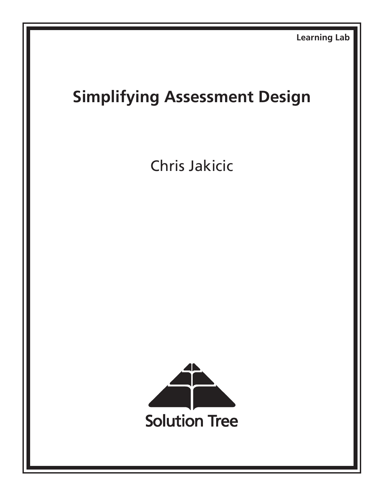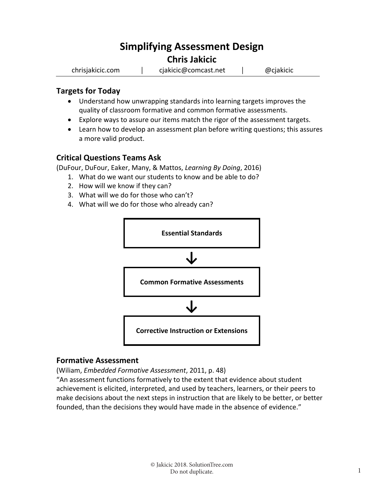# **Simplifying Assessment Design**

## **Chris Jakicic**

chrisjakicic.com | cjakicic@comcast.net | @cjakicic

#### **Targets for Today**

- Understand how unwrapping standards into learning targets improves the quality of classroom formative and common formative assessments.
- Explore ways to assure our items match the rigor of the assessment targets.
- Learn how to develop an assessment plan before writing questions; this assures a more valid product.

## **Critical Questions Teams Ask**

(DuFour, DuFour, Eaker, Many, & Mattos, *Learning By Doing*, 2016)

- 1. What do we want our students to know and be able to do?
- 2. How will we know if they can?
- 3. What will we do for those who can't?
- 4. What will we do for those who already can?



#### **Formative Assessment**

(Wiliam, *Embedded Formative Assessment*, 2011, p. 48)

"An assessment functions formatively to the extent that evidence about student achievement is elicited, interpreted, and used by teachers, learners, or their peers to make decisions about the next steps in instruction that are likely to be better, or better founded, than the decisions they would have made in the absence of evidence."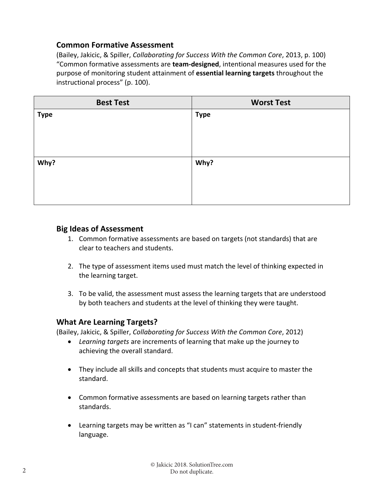### **Common Formative Assessment**

(Bailey, Jakicic, & Spiller, *Collaborating for Success With the Common Core*, 2013, p. 100) "Common formative assessments are **team‐designed**, intentional measures used for the purpose of monitoring student attainment of **essential learning targets** throughout the instructional process" (p. 100).

| <b>Best Test</b> | <b>Worst Test</b> |
|------------------|-------------------|
| <b>Type</b>      | <b>Type</b>       |
|                  |                   |
|                  |                   |
|                  |                   |
| Why?             | Why?              |
|                  |                   |
|                  |                   |
|                  |                   |

#### **Big Ideas of Assessment**

- 1. Common formative assessments are based on targets (not standards) that are clear to teachers and students.
- 2. The type of assessment items used must match the level of thinking expected in the learning target.
- 3. To be valid, the assessment must assess the learning targets that are understood by both teachers and students at the level of thinking they were taught.

#### **What Are Learning Targets?**

(Bailey, Jakicic, & Spiller, *Collaborating for Success With the Common Core*, 2012)

- *Learning targets* are increments of learning that make up the journey to achieving the overall standard.
- They include all skills and concepts that students must acquire to master the standard.
- Common formative assessments are based on learning targets rather than standards.
- Learning targets may be written as "I can" statements in student‐friendly language.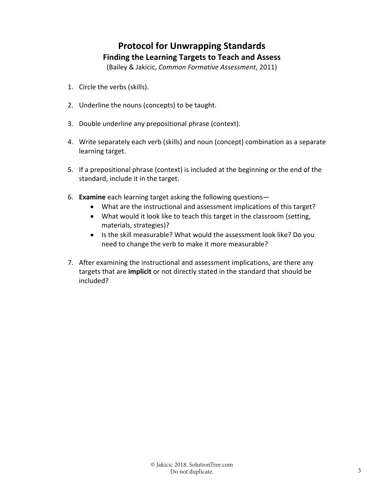## **Protocol for Unwrapping Standards Finding the Learning Targets to Teach and Assess**

(Bailey & Jakicic, *Common Formative Assessment*, 2011)

- 1. Circle the verbs (skills).
- 2. Underline the nouns (concepts) to be taught.
- 3. Double underline any prepositional phrase (context).
- 4. Write separately each verb (skills) and noun (concept) combination as a separate learning target.
- 5. If a prepositional phrase (context) is included at the beginning or the end of the standard, include it in the target.
- 6. **Examine** each learning target asking the following questions—
	- What are the instructional and assessment implications of this target?
	- What would it look like to teach this target in the classroom (setting, materials, strategies)?
	- Is the skill measurable? What would the assessment look like? Do you need to change the verb to make it more measurable?
- 7. After examining the instructional and assessment implications, are there any targets that are **implicit** or not directly stated in the standard that should be included?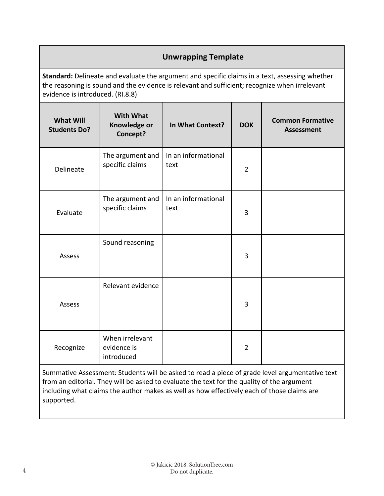## **Unwrapping Template**

**Standard:** Delineate and evaluate the argument and specific claims in a text, assessing whether the reasoning is sound and the evidence is relevant and sufficient; recognize when irrelevant evidence is introduced. (RI.8.8)

| <b>What Will</b><br><b>Students Do?</b> | <b>With What</b><br>Knowledge or<br>Concept? | In What Context?            | <b>DOK</b>     | <b>Common Formative</b><br><b>Assessment</b> |
|-----------------------------------------|----------------------------------------------|-----------------------------|----------------|----------------------------------------------|
| Delineate                               | The argument and<br>specific claims          | In an informational<br>text | $\overline{2}$ |                                              |
| Evaluate                                | The argument and<br>specific claims          | In an informational<br>text | 3              |                                              |
| Assess                                  | Sound reasoning                              |                             | 3              |                                              |
| Assess                                  | Relevant evidence                            |                             | 3              |                                              |
| Recognize                               | When irrelevant<br>evidence is<br>introduced |                             | $\overline{2}$ |                                              |

Summative Assessment: Students will be asked to read a piece of grade level argumentative text from an editorial. They will be asked to evaluate the text for the quality of the argument including what claims the author makes as well as how effectively each of those claims are supported.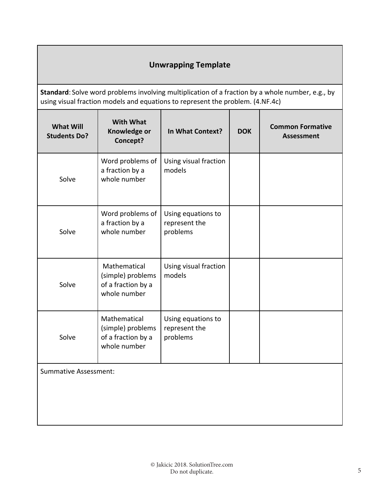## **Unwrapping Template**

**Standard**: Solve word problems involving multiplication of a fraction by a whole number, e.g., by using visual fraction models and equations to represent the problem. (4.NF.4c)

| <b>What Will</b><br><b>Students Do?</b> | <b>With What</b><br>Knowledge or<br>Concept?                            | In What Context?                                | <b>DOK</b> | <b>Common Formative</b><br><b>Assessment</b> |
|-----------------------------------------|-------------------------------------------------------------------------|-------------------------------------------------|------------|----------------------------------------------|
| Solve                                   | Word problems of<br>a fraction by a<br>whole number                     | Using visual fraction<br>models                 |            |                                              |
| Solve                                   | Word problems of<br>a fraction by a<br>whole number                     | Using equations to<br>represent the<br>problems |            |                                              |
| Solve                                   | Mathematical<br>(simple) problems<br>of a fraction by a<br>whole number | Using visual fraction<br>models                 |            |                                              |
| Solve                                   | Mathematical<br>(simple) problems<br>of a fraction by a<br>whole number | Using equations to<br>represent the<br>problems |            |                                              |
| <b>Summative Assessment:</b>            |                                                                         |                                                 |            |                                              |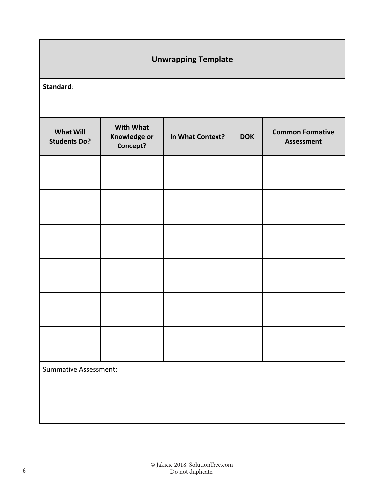| <b>Unwrapping Template</b>              |                                              |                  |            |                                              |  |
|-----------------------------------------|----------------------------------------------|------------------|------------|----------------------------------------------|--|
| Standard:                               |                                              |                  |            |                                              |  |
| <b>What Will</b><br><b>Students Do?</b> | <b>With What</b><br>Knowledge or<br>Concept? | In What Context? | <b>DOK</b> | <b>Common Formative</b><br><b>Assessment</b> |  |
|                                         |                                              |                  |            |                                              |  |
|                                         |                                              |                  |            |                                              |  |
|                                         |                                              |                  |            |                                              |  |
|                                         |                                              |                  |            |                                              |  |
|                                         |                                              |                  |            |                                              |  |
|                                         |                                              |                  |            |                                              |  |
| <b>Summative Assessment:</b>            |                                              |                  |            |                                              |  |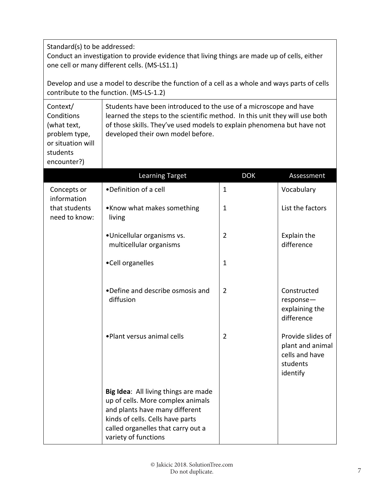Standard(s) to be addressed:

Conduct an investigation to provide evidence that living things are made up of cells, either one cell or many different cells. (MS‐LS1.1)

Develop and use a model to describe the function of a cell as a whole and ways parts of cells contribute to the function. (MS‐LS‐1.2)

| Context/          | Students have been introduced to the use of a microscope and have           |
|-------------------|-----------------------------------------------------------------------------|
| Conditions        | learned the steps to the scientific method. In this unit they will use both |
| (what text,       | of those skills. They've used models to explain phenomena but have not      |
| problem type,     | developed their own model before.                                           |
| or situation will |                                                                             |
| students          |                                                                             |
| encounter?)       |                                                                             |

|                                | <b>Learning Target</b>                                                                                                                                                                                        | <b>DOK</b>     | Assessment                                                                      |
|--------------------------------|---------------------------------------------------------------------------------------------------------------------------------------------------------------------------------------------------------------|----------------|---------------------------------------------------------------------------------|
| Concepts or<br>information     | •Definition of a cell                                                                                                                                                                                         | $\mathbf{1}$   | Vocabulary                                                                      |
| that students<br>need to know: | •Know what makes something<br>living                                                                                                                                                                          | 1              | List the factors                                                                |
|                                | ·Unicellular organisms vs.<br>multicellular organisms                                                                                                                                                         | $\overline{2}$ | Explain the<br>difference                                                       |
|                                | •Cell organelles                                                                                                                                                                                              | $\mathbf{1}$   |                                                                                 |
|                                | •Define and describe osmosis and<br>diffusion                                                                                                                                                                 | $\overline{2}$ | Constructed<br>$response-$<br>explaining the<br>difference                      |
|                                | . Plant versus animal cells                                                                                                                                                                                   | $\overline{2}$ | Provide slides of<br>plant and animal<br>cells and have<br>students<br>identify |
|                                | Big Idea: All living things are made<br>up of cells. More complex animals<br>and plants have many different<br>kinds of cells. Cells have parts<br>called organelles that carry out a<br>variety of functions |                |                                                                                 |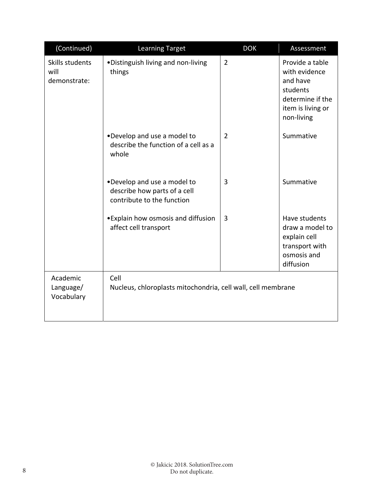| (Continued)                             | <b>Learning Target</b>                                                                    | <b>DOK</b>     | Assessment                                                                                                      |
|-----------------------------------------|-------------------------------------------------------------------------------------------|----------------|-----------------------------------------------------------------------------------------------------------------|
| Skills students<br>will<br>demonstrate: | . Distinguish living and non-living<br>things                                             | $\overline{2}$ | Provide a table<br>with evidence<br>and have<br>students<br>determine if the<br>item is living or<br>non-living |
|                                         | . Develop and use a model to<br>describe the function of a cell as a<br>whole             | $\overline{2}$ | Summative                                                                                                       |
|                                         | .Develop and use a model to<br>describe how parts of a cell<br>contribute to the function | 3              | Summative                                                                                                       |
|                                         | • Explain how osmosis and diffusion<br>affect cell transport                              | 3              | Have students<br>draw a model to<br>explain cell<br>transport with<br>osmosis and<br>diffusion                  |
| Academic<br>Language/<br>Vocabulary     | Cell<br>Nucleus, chloroplasts mitochondria, cell wall, cell membrane                      |                |                                                                                                                 |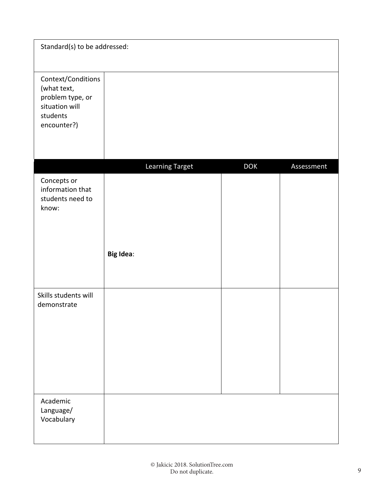| Standard(s) to be addressed:                                                                       |                  |            |            |
|----------------------------------------------------------------------------------------------------|------------------|------------|------------|
| Context/Conditions<br>(what text,<br>problem type, or<br>situation will<br>students<br>encounter?) |                  |            |            |
|                                                                                                    | Learning Target  | <b>DOK</b> | Assessment |
| Concepts or<br>information that<br>students need to<br>know:                                       |                  |            |            |
|                                                                                                    | <b>Big Idea:</b> |            |            |
|                                                                                                    |                  |            |            |
| Skills students will<br>demonstrate                                                                |                  |            |            |
| Academic<br>Language/<br>Vocabulary                                                                |                  |            |            |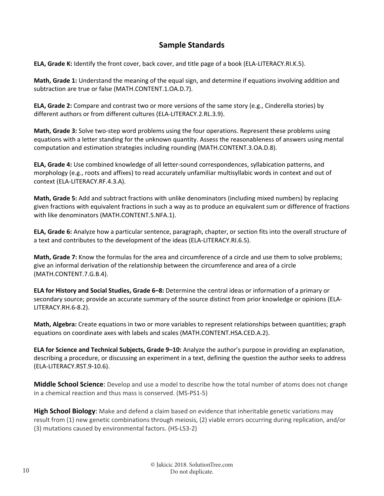## **Sample Standards**

**ELA, Grade K:** Identify the front cover, back cover, and title page of a book (ELA‐LITERACY.RI.K.5).

**Math, Grade 1:** Understand the meaning of the equal sign, and determine if equations involving addition and subtraction are true or false (MATH.CONTENT.1.OA.D.7).

**ELA, Grade 2:** Compare and contrast two or more versions of the same story (e.g., Cinderella stories) by different authors or from different cultures (ELA‐LITERACY.2.RL.3.9).

**Math, Grade 3:** Solve two‐step word problems using the four operations. Represent these problems using equations with a letter standing for the unknown quantity. Assess the reasonableness of answers using mental computation and estimation strategies including rounding (MATH.CONTENT.3.OA.D.8).

**ELA, Grade 4:** Use combined knowledge of all letter‐sound correspondences, syllabication patterns, and morphology (e.g., roots and affixes) to read accurately unfamiliar multisyllabic words in context and out of context (ELA‐LITERACY.RF.4.3.A).

**Math, Grade 5:** Add and subtract fractions with unlike denominators (including mixed numbers) by replacing given fractions with equivalent fractions in such a way as to produce an equivalent sum or difference of fractions with like denominators (MATH.CONTENT.5.NFA.1).

**ELA, Grade 6:** Analyze how a particular sentence, paragraph, chapter, or section fits into the overall structure of a text and contributes to the development of the ideas (ELA‐LITERACY.RI.6.5).

**Math, Grade 7:** Know the formulas for the area and circumference of a circle and use them to solve problems; give an informal derivation of the relationship between the circumference and area of a circle (MATH.CONTENT.7.G.B.4).

**ELA for History and Social Studies, Grade 6–8:** Determine the central ideas or information of a primary or secondary source; provide an accurate summary of the source distinct from prior knowledge or opinions (ELA‐ LITERACY.RH.6‐8.2).

**Math, Algebra:** Create equations in two or more variables to represent relationships between quantities; graph equations on coordinate axes with labels and scales (MATH.CONTENT.HSA.CED.A.2).

**ELA for Science and Technical Subjects, Grade 9–10:** Analyze the author's purpose in providing an explanation, describing a procedure, or discussing an experiment in a text, defining the question the author seeks to address (ELA‐LITERACY.RST.9‐10.6).

**Middle School Science**: Develop and use a model to describe how the total number of atoms does not change in a chemical reaction and thus mass is conserved. (MS‐PS1‐5)

**High School Biology**: Make and defend a claim based on evidence that inheritable genetic variations may result from (1) new genetic combinations through meiosis, (2) viable errors occurring during replication, and/or (3) mutations caused by environmental factors. (HS‐LS3‐2)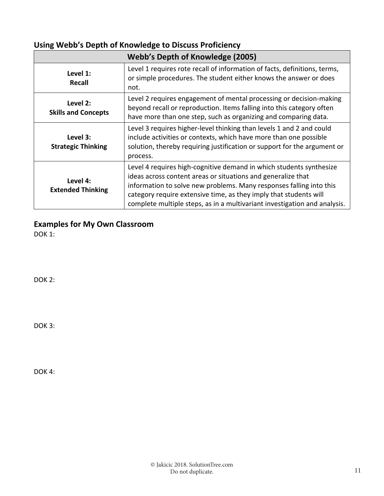## **Using Webb's Depth of Knowledge to Discuss Proficiency**

|                                        | Webb's Depth of Knowledge (2005)                                                                                                                                                                                                                                                                                                                             |
|----------------------------------------|--------------------------------------------------------------------------------------------------------------------------------------------------------------------------------------------------------------------------------------------------------------------------------------------------------------------------------------------------------------|
| Level 1:<br>Recall                     | Level 1 requires rote recall of information of facts, definitions, terms,<br>or simple procedures. The student either knows the answer or does<br>not.                                                                                                                                                                                                       |
| Level 2:<br><b>Skills and Concepts</b> | Level 2 requires engagement of mental processing or decision-making<br>beyond recall or reproduction. Items falling into this category often<br>have more than one step, such as organizing and comparing data.                                                                                                                                              |
| Level 3:<br><b>Strategic Thinking</b>  | Level 3 requires higher-level thinking than levels 1 and 2 and could<br>include activities or contexts, which have more than one possible<br>solution, thereby requiring justification or support for the argument or<br>process.                                                                                                                            |
| Level 4:<br><b>Extended Thinking</b>   | Level 4 requires high-cognitive demand in which students synthesize<br>ideas across content areas or situations and generalize that<br>information to solve new problems. Many responses falling into this<br>category require extensive time, as they imply that students will<br>complete multiple steps, as in a multivariant investigation and analysis. |

**Examples for My Own Classroom** 

DOK 1:

DOK 2:

DOK 3:

DOK<sub>4:</sub>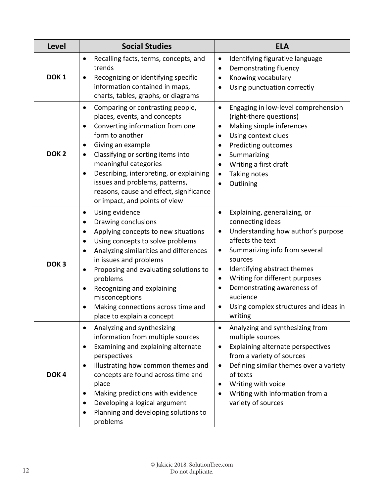| Level            | <b>Social Studies</b>                                                                                                                                                                                                                                                                                                                                                                                                                            | <b>ELA</b>                                                                                                                                                                                                                                                                                                                                                                                                       |
|------------------|--------------------------------------------------------------------------------------------------------------------------------------------------------------------------------------------------------------------------------------------------------------------------------------------------------------------------------------------------------------------------------------------------------------------------------------------------|------------------------------------------------------------------------------------------------------------------------------------------------------------------------------------------------------------------------------------------------------------------------------------------------------------------------------------------------------------------------------------------------------------------|
| DOK <sub>1</sub> | Recalling facts, terms, concepts, and<br>$\bullet$<br>trends<br>Recognizing or identifying specific<br>information contained in maps,<br>charts, tables, graphs, or diagrams                                                                                                                                                                                                                                                                     | Identifying figurative language<br>$\bullet$<br>Demonstrating fluency<br>٠<br>Knowing vocabulary<br>Using punctuation correctly                                                                                                                                                                                                                                                                                  |
| DOK <sub>2</sub> | Comparing or contrasting people,<br>٠<br>places, events, and concepts<br>Converting information from one<br>$\bullet$<br>form to another<br>Giving an example<br>٠<br>Classifying or sorting items into<br>meaningful categories<br>Describing, interpreting, or explaining<br>issues and problems, patterns,<br>reasons, cause and effect, significance<br>or impact, and points of view                                                        | Engaging in low-level comprehension<br>$\bullet$<br>(right-there questions)<br>Making simple inferences<br>٠<br>Using context clues<br>$\bullet$<br>Predicting outcomes<br>٠<br>Summarizing<br>Writing a first draft<br>$\bullet$<br>Taking notes<br>Outlining                                                                                                                                                   |
| DOK <sub>3</sub> | Using evidence<br>$\bullet$<br>Drawing conclusions<br>٠<br>Applying concepts to new situations<br>$\bullet$<br>Using concepts to solve problems<br>$\bullet$<br>Analyzing similarities and differences<br>$\bullet$<br>in issues and problems<br>Proposing and evaluating solutions to<br>$\bullet$<br>problems<br>Recognizing and explaining<br>$\bullet$<br>misconceptions<br>Making connections across time and<br>place to explain a concept | Explaining, generalizing, or<br>$\bullet$<br>connecting ideas<br>Understanding how author's purpose<br>$\bullet$<br>affects the text<br>Summarizing info from several<br>$\bullet$<br>sources<br>Identifying abstract themes<br>$\bullet$<br>Writing for different purposes<br>$\bullet$<br>Demonstrating awareness of<br>$\bullet$<br>audience<br>Using complex structures and ideas in<br>$\bullet$<br>writing |
| DOK <sub>4</sub> | Analyzing and synthesizing<br>information from multiple sources<br>Examining and explaining alternate<br>perspectives<br>Illustrating how common themes and<br>concepts are found across time and<br>place<br>Making predictions with evidence<br>$\bullet$<br>Developing a logical argument<br>Planning and developing solutions to<br>problems                                                                                                 | Analyzing and synthesizing from<br>multiple sources<br>Explaining alternate perspectives<br>from a variety of sources<br>Defining similar themes over a variety<br>of texts<br>Writing with voice<br>Writing with information from a<br>variety of sources                                                                                                                                                       |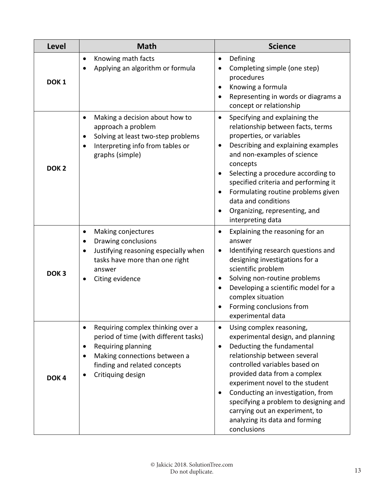| <b>Level</b>     | <b>Math</b>                                                                                                                                                                                        | <b>Science</b>                                                                                                                                                                                                                                                                                                                                                                                                            |
|------------------|----------------------------------------------------------------------------------------------------------------------------------------------------------------------------------------------------|---------------------------------------------------------------------------------------------------------------------------------------------------------------------------------------------------------------------------------------------------------------------------------------------------------------------------------------------------------------------------------------------------------------------------|
| DOK <sub>1</sub> | Knowing math facts<br>Applying an algorithm or formula                                                                                                                                             | Defining<br>$\bullet$<br>Completing simple (one step)<br>procedures<br>Knowing a formula<br>Representing in words or diagrams a<br>concept or relationship                                                                                                                                                                                                                                                                |
| DOK <sub>2</sub> | Making a decision about how to<br>$\bullet$<br>approach a problem<br>Solving at least two-step problems<br>Interpreting info from tables or<br>$\bullet$<br>graphs (simple)                        | Specifying and explaining the<br>$\bullet$<br>relationship between facts, terms<br>properties, or variables<br>Describing and explaining examples<br>$\bullet$<br>and non-examples of science<br>concepts<br>Selecting a procedure according to<br>specified criteria and performing it<br>Formulating routine problems given<br>data and conditions<br>Organizing, representing, and<br>interpreting data                |
| DOK <sub>3</sub> | Making conjectures<br>Drawing conclusions<br>$\bullet$<br>Justifying reasoning especially when<br>$\bullet$<br>tasks have more than one right<br>answer<br>Citing evidence                         | Explaining the reasoning for an<br>$\bullet$<br>answer<br>Identifying research questions and<br>$\bullet$<br>designing investigations for a<br>scientific problem<br>Solving non-routine problems<br>Developing a scientific model for a<br>complex situation<br>Forming conclusions from<br>experimental data                                                                                                            |
| DOK <sub>4</sub> | Requiring complex thinking over a<br>$\bullet$<br>period of time (with different tasks)<br>Requiring planning<br>Making connections between a<br>finding and related concepts<br>Critiquing design | Using complex reasoning,<br>$\bullet$<br>experimental design, and planning<br>Deducting the fundamental<br>$\bullet$<br>relationship between several<br>controlled variables based on<br>provided data from a complex<br>experiment novel to the student<br>Conducting an investigation, from<br>specifying a problem to designing and<br>carrying out an experiment, to<br>analyzing its data and forming<br>conclusions |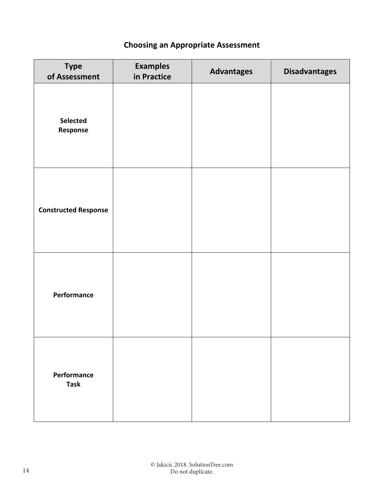## **Choosing an Appropriate Assessment**

| <b>Type</b><br>of Assessment | <b>Examples</b><br>in Practice | <b>Advantages</b> | <b>Disadvantages</b> |
|------------------------------|--------------------------------|-------------------|----------------------|
| Selected<br>Response         |                                |                   |                      |
| <b>Constructed Response</b>  |                                |                   |                      |
| Performance                  |                                |                   |                      |
| Performance<br><b>Task</b>   |                                |                   |                      |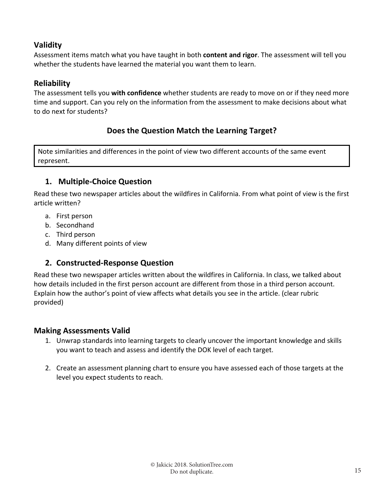## **Validity**

Assessment items match what you have taught in both **content and rigor**. The assessment will tell you whether the students have learned the material you want them to learn.

## **Reliability**

The assessment tells you **with confidence** whether students are ready to move on or if they need more time and support. Can you rely on the information from the assessment to make decisions about what to do next for students?

## **Does the Question Match the Learning Target?**

Note similarities and differences in the point of view two different accounts of the same event represent.

## **1. Multiple‐Choice Question**

Read these two newspaper articles about the wildfires in California. From what point of view is the first article written?

- a. First person
- b. Secondhand
- c. Third person
- d. Many different points of view

## **2. Constructed‐Response Question**

Read these two newspaper articles written about the wildfires in California. In class, we talked about how details included in the first person account are different from those in a third person account. Explain how the author's point of view affects what details you see in the article. (clear rubric provided)

#### **Making Assessments Valid**

- 1. Unwrap standards into learning targets to clearly uncover the important knowledge and skills you want to teach and assess and identify the DOK level of each target.
- 2. Create an assessment planning chart to ensure you have assessed each of those targets at the level you expect students to reach.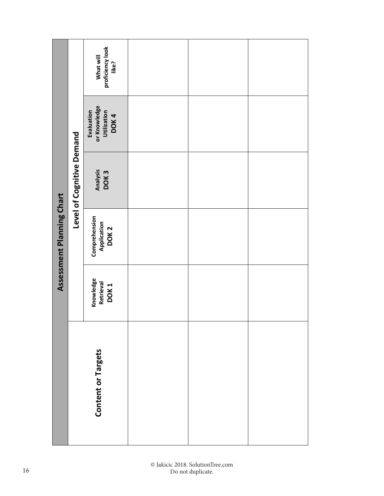| Assessment Planning Chart | Level of Cognitive Demand | What will<br>proficiency look<br>like?                    |  |  |
|---------------------------|---------------------------|-----------------------------------------------------------|--|--|
|                           |                           | or Knowledge<br>Evaluation<br><b>Utilization</b><br>DOK 4 |  |  |
|                           |                           | Analysis<br>DOK 3                                         |  |  |
|                           |                           | Comprehension<br>Application<br>DOK 2                     |  |  |
|                           |                           | Knowledge<br>Retrieval<br>DOK <sub>1</sub>                |  |  |
|                           | <b>Content or Targets</b> |                                                           |  |  |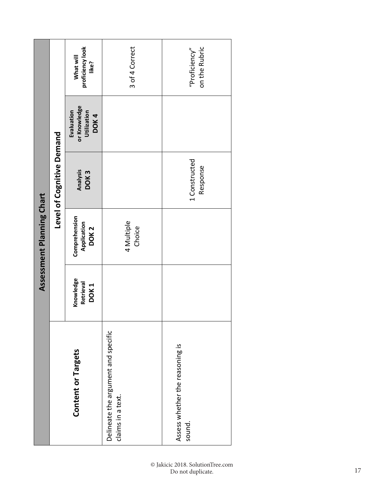|                           | Level of Cognitive Demand | proficiency look<br>What will<br>like?            | 3 of 4 Correct                                           | on the Rubric<br>"Proficiency"            |
|---------------------------|---------------------------|---------------------------------------------------|----------------------------------------------------------|-------------------------------------------|
| Assessment Planning Chart |                           | or Knowledge<br>Evaluation<br>Utilization<br>DOK4 |                                                          |                                           |
|                           |                           | Analysis<br>DOK <sub>3</sub>                      |                                                          | 1 Constructed<br>Response                 |
|                           |                           | Comprehension<br>Application<br>DOK <sub>2</sub>  | 4 Multiple<br>Choice                                     |                                           |
|                           |                           | Knowledge<br>Retrieval<br>DOK <sub>1</sub>        |                                                          |                                           |
|                           |                           | Content or Targets                                | Delineate the argument and specific<br>claims in a text. | Assess whether the reasoning is<br>sound. |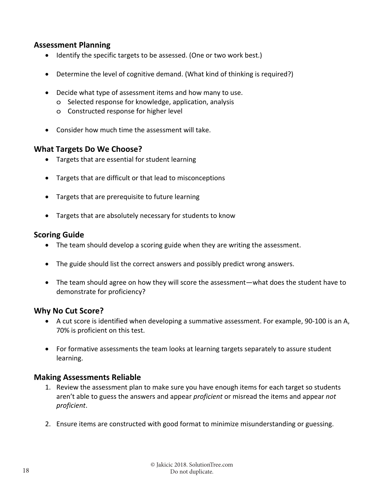#### **Assessment Planning**

- Identify the specific targets to be assessed. (One or two work best.)
- Determine the level of cognitive demand. (What kind of thinking is required?)
- Decide what type of assessment items and how many to use.
	- o Selected response for knowledge, application, analysis
	- o Constructed response for higher level
- Consider how much time the assessment will take.

#### **What Targets Do We Choose?**

- Targets that are essential for student learning
- Targets that are difficult or that lead to misconceptions
- Targets that are prerequisite to future learning
- Targets that are absolutely necessary for students to know

#### **Scoring Guide**

- The team should develop a scoring guide when they are writing the assessment.
- The guide should list the correct answers and possibly predict wrong answers.
- The team should agree on how they will score the assessment—what does the student have to demonstrate for proficiency?

#### **Why No Cut Score?**

- A cut score is identified when developing a summative assessment. For example, 90‐100 is an A, 70% is proficient on this test.
- For formative assessments the team looks at learning targets separately to assure student learning.

#### **Making Assessments Reliable**

- 1. Review the assessment plan to make sure you have enough items for each target so students aren't able to guess the answers and appear *proficient* or misread the items and appear *not proficient*.
- 2. Ensure items are constructed with good format to minimize misunderstanding or guessing.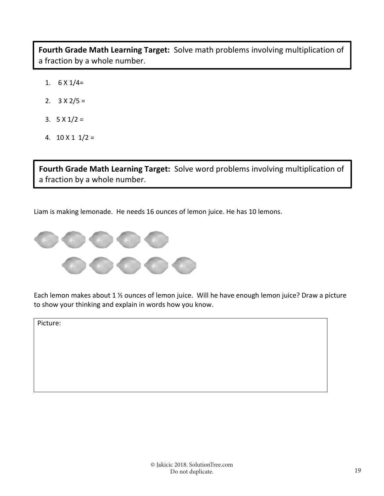**Fourth Grade Math Learning Target:** Solve math problems involving multiplication of a fraction by a whole number.

- 1.  $6 \times 1/4=$
- 2.  $3 \times 2/5 =$
- 3.  $5 \times 1/2 =$
- 4.  $10 \times 11 / 2 =$

**Fourth Grade Math Learning Target:** Solve word problems involving multiplication of a fraction by a whole number.

Liam is making lemonade. He needs 16 ounces of lemon juice. He has 10 lemons.



Each lemon makes about 1 ½ ounces of lemon juice. Will he have enough lemon juice? Draw a picture to show your thinking and explain in words how you know.

Picture: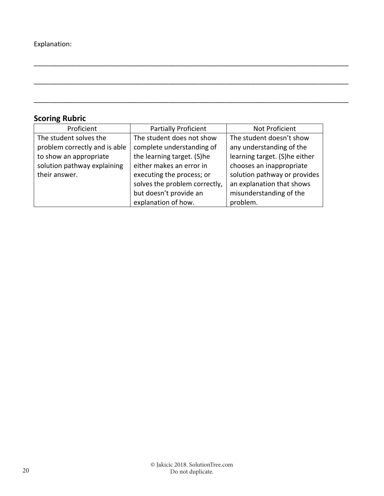## **Scoring Rubric**

| Proficient                    | <b>Partially Proficient</b>   | Not Proficient                |
|-------------------------------|-------------------------------|-------------------------------|
| The student solves the        | The student does not show     | The student doesn't show      |
| problem correctly and is able | complete understanding of     | any understanding of the      |
| to show an appropriate        | the learning target. (S)he    | learning target. (S)he either |
| solution pathway explaining   | either makes an error in      | chooses an inappropriate      |
| their answer.                 | executing the process; or     | solution pathway or provides  |
|                               | solves the problem correctly, | an explanation that shows     |
|                               | but doesn't provide an        | misunderstanding of the       |
|                               | explanation of how.           | problem.                      |

\_\_\_\_\_\_\_\_\_\_\_\_\_\_\_\_\_\_\_\_\_\_\_\_\_\_\_\_\_\_\_\_\_\_\_\_\_\_\_\_\_\_\_\_\_\_\_\_\_\_\_\_\_\_\_\_\_\_\_\_\_\_\_\_\_\_\_\_\_\_\_\_\_\_\_\_\_\_\_\_\_\_\_\_

\_\_\_\_\_\_\_\_\_\_\_\_\_\_\_\_\_\_\_\_\_\_\_\_\_\_\_\_\_\_\_\_\_\_\_\_\_\_\_\_\_\_\_\_\_\_\_\_\_\_\_\_\_\_\_\_\_\_\_\_\_\_\_\_\_\_\_\_\_\_\_\_\_\_\_\_\_\_\_\_\_\_\_\_

\_\_\_\_\_\_\_\_\_\_\_\_\_\_\_\_\_\_\_\_\_\_\_\_\_\_\_\_\_\_\_\_\_\_\_\_\_\_\_\_\_\_\_\_\_\_\_\_\_\_\_\_\_\_\_\_\_\_\_\_\_\_\_\_\_\_\_\_\_\_\_\_\_\_\_\_\_\_\_\_\_\_\_\_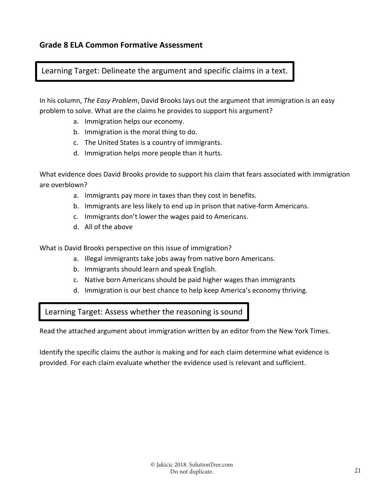### Learning Target: Delineate the argument and specific claims in a text.

In his column, *The Easy Problem*, David Brooks lays out the argument that immigration is an easy problem to solve. What are the claims he provides to support his argument?

- a. Immigration helps our economy.
- b. Immigration is the moral thing to do.
- c. The United States is a country of immigrants.
- d. Immigration helps more people than it hurts.

What evidence does David Brooks provide to support his claim that fears associated with immigration are overblown?

- a. Immigrants pay more in taxes than they cost in benefits.
- b. Immigrants are less likely to end up in prison that native‐form Americans.
- c. Immigrants don't lower the wages paid to Americans.
- d. All of the above

What is David Brooks perspective on this issue of immigration?

- a. Illegal immigrants take jobs away from native born Americans.
- b. Immigrants should learn and speak English.
- c. Native born Americans should be paid higher wages than immigrants
- d. Immigration is our best chance to help keep America's economy thriving.

Learning Target: Assess whether the reasoning is sound

Read the attached argument about immigration written by an editor from the New York Times.

Identify the specific claims the author is making and for each claim determine what evidence is provided. For each claim evaluate whether the evidence used is relevant and sufficient.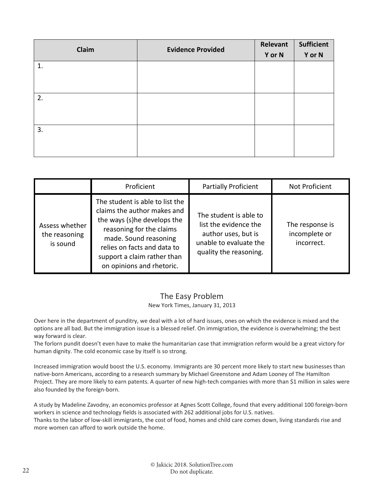| Claim | <b>Evidence Provided</b> | Relevant | <b>Sufficient</b> |
|-------|--------------------------|----------|-------------------|
|       |                          | Y or N   | Y or N            |
| 1.    |                          |          |                   |
|       |                          |          |                   |
|       |                          |          |                   |
| 2.    |                          |          |                   |
|       |                          |          |                   |
|       |                          |          |                   |
| 3.    |                          |          |                   |
|       |                          |          |                   |
|       |                          |          |                   |

|                                             | Proficient                                                                                                                                                                                                                                    | <b>Partially Proficient</b>                                                                                                | Not Proficient                                 |
|---------------------------------------------|-----------------------------------------------------------------------------------------------------------------------------------------------------------------------------------------------------------------------------------------------|----------------------------------------------------------------------------------------------------------------------------|------------------------------------------------|
| Assess whether<br>the reasoning<br>is sound | The student is able to list the<br>claims the author makes and<br>the ways (s)he develops the<br>reasoning for the claims<br>made. Sound reasoning<br>relies on facts and data to<br>support a claim rather than<br>on opinions and rhetoric. | The student is able to<br>list the evidence the<br>author uses, but is<br>unable to evaluate the<br>quality the reasoning. | The response is<br>incomplete or<br>incorrect. |

## The Easy Problem

#### New York Times, January 31, 2013

Over here in the department of punditry, we deal with a lot of hard issues, ones on which the evidence is mixed and the options are all bad. But the immigration issue is a blessed relief. On immigration, the evidence is overwhelming; the best way forward is clear.

The forlorn pundit doesn't even have to make the humanitarian case that immigration reform would be a great victory for human dignity. The cold economic case by itself is so strong.

Increased immigration would boost the U.S. economy. Immigrants are 30 percent more likely to start new businesses than native‐born Americans, according to a research summary by Michael Greenstone and Adam Looney of The Hamilton Project. They are more likely to earn patents. A quarter of new high-tech companies with more than \$1 million in sales were also founded by the foreign‐born.

A study by Madeline Zavodny, an economics professor at Agnes Scott College, found that every additional 100 foreign‐born workers in science and technology fields is associated with 262 additional jobs for U.S. natives. Thanks to the labor of low‐skill immigrants, the cost of food, homes and child care comes down, living standards rise and more women can afford to work outside the home.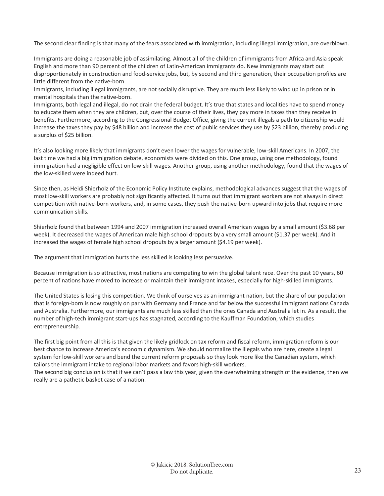The second clear finding is that many of the fears associated with immigration, including illegal immigration, are overblown.

Immigrants are doing a reasonable job of assimilating. Almost all of the children of immigrants from Africa and Asia speak English and more than 90 percent of the children of Latin‐American immigrants do. New immigrants may start out disproportionately in construction and food‐service jobs, but, by second and third generation, their occupation profiles are little different from the native‐born.

Immigrants, including illegal immigrants, are not socially disruptive. They are much less likely to wind up in prison or in mental hospitals than the native‐born.

Immigrants, both legal and illegal, do not drain the federal budget. It's true that states and localities have to spend money to educate them when they are children, but, over the course of their lives, they pay more in taxes than they receive in benefits. Furthermore, according to the Congressional Budget Office, giving the current illegals a path to citizenship would increase the taxes they pay by \$48 billion and increase the cost of public services they use by \$23 billion, thereby producing a surplus of \$25 billion.

It's also looking more likely that immigrants don't even lower the wages for vulnerable, low‐skill Americans. In 2007, the last time we had a big immigration debate, economists were divided on this. One group, using one methodology, found immigration had a negligible effect on low‐skill wages. Another group, using another methodology, found that the wages of the low‐skilled were indeed hurt.

Since then, as Heidi Shierholz of the Economic Policy Institute explains, methodological advances suggest that the wages of most low‐skill workers are probably not significantly affected. It turns out that immigrant workers are not always in direct competition with native-born workers, and, in some cases, they push the native-born upward into jobs that require more communication skills.

Shierholz found that between 1994 and 2007 immigration increased overall American wages by a small amount (\$3.68 per week). It decreased the wages of American male high school dropouts by a very small amount (\$1.37 per week). And it increased the wages of female high school dropouts by a larger amount (\$4.19 per week).

The argument that immigration hurts the less skilled is looking less persuasive.

Because immigration is so attractive, most nations are competing to win the global talent race. Over the past 10 years, 60 percent of nations have moved to increase or maintain their immigrant intakes, especially for high‐skilled immigrants.

The United States is losing this competition. We think of ourselves as an immigrant nation, but the share of our population that is foreign‐born is now roughly on par with Germany and France and far below the successful immigrant nations Canada and Australia. Furthermore, our immigrants are much less skilled than the ones Canada and Australia let in. As a result, the number of high‐tech immigrant start‐ups has stagnated, according to the Kauffman Foundation, which studies entrepreneurship.

The first big point from all this is that given the likely gridlock on tax reform and fiscal reform, immigration reform is our best chance to increase America's economic dynamism. We should normalize the illegals who are here, create a legal system for low‐skill workers and bend the current reform proposals so they look more like the Canadian system, which tailors the immigrant intake to regional labor markets and favors high‐skill workers.

The second big conclusion is that if we can't pass a law this year, given the overwhelming strength of the evidence, then we really are a pathetic basket case of a nation.